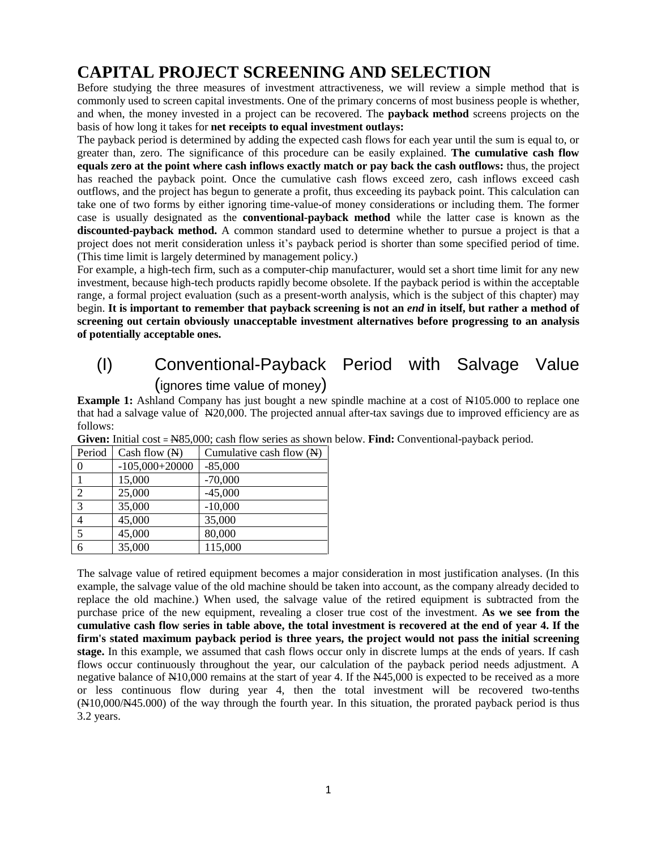# **CAPITAL PROJECT SCREENING AND SELECTION**

Before studying the three measures of investment attractiveness, we will review a simple method that is commonly used to screen capital investments. One of the primary concerns of most business people is whether, and when, the money invested in a project can be recovered. The **payback method** screens projects on the basis of how long it takes for **net receipts to equal investment outlays:**

The payback period is determined by adding the expected cash flows for each year until the sum is equal to, or greater than, zero. The significance of this procedure can be easily explained. **The cumulative cash flow equals zero at the point where cash inflows exactly match or pay back the cash outflows:** thus, the project has reached the payback point. Once the cumulative cash flows exceed zero, cash inflows exceed cash outflows, and the project has begun to generate a profit, thus exceeding its payback point. This calculation can take one of two forms by either ignoring time-value-of money considerations or including them. The former case is usually designated as the **conventional-payback method** while the latter case is known as the **discounted-payback method.** A common standard used to determine whether to pursue a project is that a project does not merit consideration unless it's payback period is shorter than some specified period of time. (This time limit is largely determined by management policy.)

For example, a high-tech firm, such as a computer-chip manufacturer, would set a short time limit for any new investment, because high-tech products rapidly become obsolete. If the payback period is within the acceptable range, a formal project evaluation (such as a present-worth analysis, which is the subject of this chapter) may begin. **It is important to remember that payback screening is not an** *end* **in itself, but rather a method of screening out certain obviously unacceptable investment alternatives before progressing to an analysis of potentially acceptable ones.**

# (I) Conventional-Payback Period with Salvage Value (ignores time value of money)

**Example 1:** Ashland Company has just bought a new spindle machine at a cost of N105.000 to replace one that had a salvage value of N20,000. The projected annual after-tax savings due to improved efficiency are as follows:

| Period         | Cash flow $(N)$  | Cumulative cash flow (N) |
|----------------|------------------|--------------------------|
| 0              | $-105,000+20000$ | $-85,000$                |
|                | 15,000           | $-70,000$                |
| $\mathfrak{D}$ | 25,000           | $-45,000$                |
| 3              | 35,000           | $-10,000$                |
|                | 45,000           | 35,000                   |
| 5              | 45,000           | 80,000                   |
| б              | 35,000           | 115,000                  |

**Given:** Initial cost = N85,000; cash flow series as shown below. **Find:** Conventional-payback period.

The salvage value of retired equipment becomes a major consideration in most justification analyses. (In this example, the salvage value of the old machine should be taken into account, as the company already decided to replace the old machine.) When used, the salvage value of the retired equipment is subtracted from the purchase price of the new equipment, revealing a closer true cost of the investment. **As we see from the cumulative cash flow series in table above, the total investment is recovered at the end of year 4. If the firm's stated maximum payback period is three years, the project would not pass the initial screening stage.** In this example, we assumed that cash flows occur only in discrete lumps at the ends of years. If cash flows occur continuously throughout the year, our calculation of the payback period needs adjustment. A negative balance of N10,000 remains at the start of year 4. If the N45,000 is expected to be received as a more or less continuous flow during year 4, then the total investment will be recovered two-tenths (N10,000/N45.000) of the way through the fourth year. In this situation, the prorated payback period is thus 3.2 years.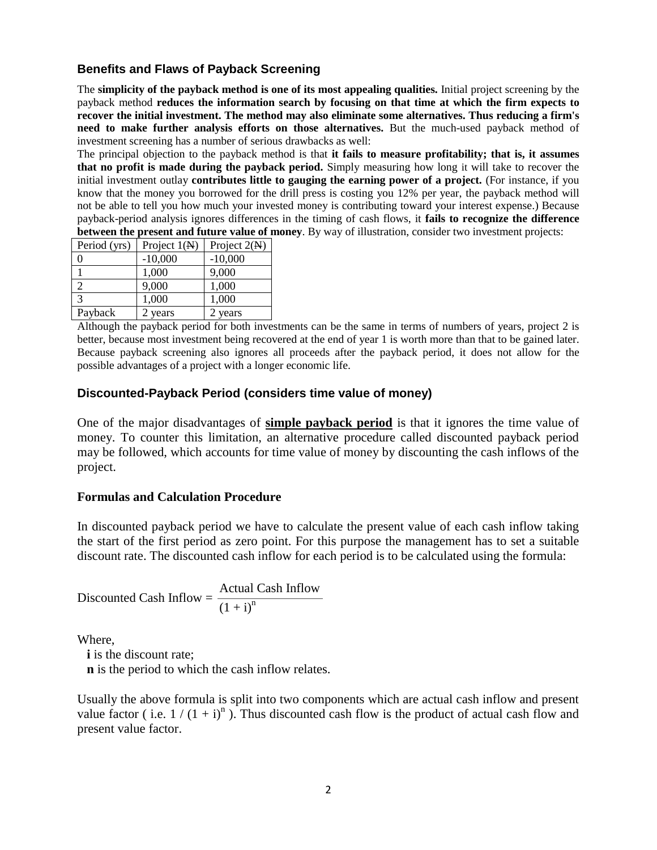### **Benefits and Flaws of Payback Screening**

The **simplicity of the payback method is one of its most appealing qualities.** Initial project screening by the payback method **reduces the information search by focusing on that time at which the firm expects to recover the initial investment. The method may also eliminate some alternatives. Thus reducing a firm's need to make further analysis efforts on those alternatives.** But the much-used payback method of investment screening has a number of serious drawbacks as well:

The principal objection to the payback method is that **it fails to measure profitability; that is, it assumes that no profit is made during the payback period.** Simply measuring how long it will take to recover the initial investment outlay **contributes little to gauging the earning power of a project.** (For instance, if you know that the money you borrowed for the drill press is costing you 12% per year, the payback method will not be able to tell you how much your invested money is contributing toward your interest expense.) Because payback-period analysis ignores differences in the timing of cash flows, it **fails to recognize the difference between the present and future value of money**. By way of illustration, consider two investment projects:

| Period (yrs) | Project $1(N)$ | Project $2(N)$ |
|--------------|----------------|----------------|
|              | $-10,000$      | $-10,000$      |
|              | 1,000          | 9,000          |
|              | 9,000          | 1,000          |
|              | 1,000          | 1,000          |
| Payback      | 2 years        | 2 years        |

Although the payback period for both investments can be the same in terms of numbers of years, project 2 is better, because most investment being recovered at the end of year 1 is worth more than that to be gained later. Because payback screening also ignores all proceeds after the payback period, it does not allow for the possible advantages of a project with a longer economic life.

### **Discounted-Payback Period (considers time value of money)**

One of the major disadvantages of **[simple payback period](http://accountingexplained.com/managerial/capital-budgeting/payback-period)** is that it ignores the time value of money. To counter this limitation, an alternative procedure called discounted payback period may be followed, which accounts for time value of money by discounting the cash inflows of the project.

### **Formulas and Calculation Procedure**

In discounted payback period we have to calculate the present value of each cash inflow taking the start of the first period as zero point. For this purpose the management has to set a suitable discount rate. The discounted cash inflow for each period is to be calculated using the formula:

$$
Discounted Cash Inflow = \frac{Actual Cash Inflow}{(1 + i)^n}
$$

Where,

*i* is the discount rate: **n** is the period to which the cash inflow relates.

Usually the above formula is split into two components which are actual cash inflow and present value factor (i.e.  $1/(1 + i)^n$ ). Thus discounted cash flow is the product of actual cash flow and present value factor.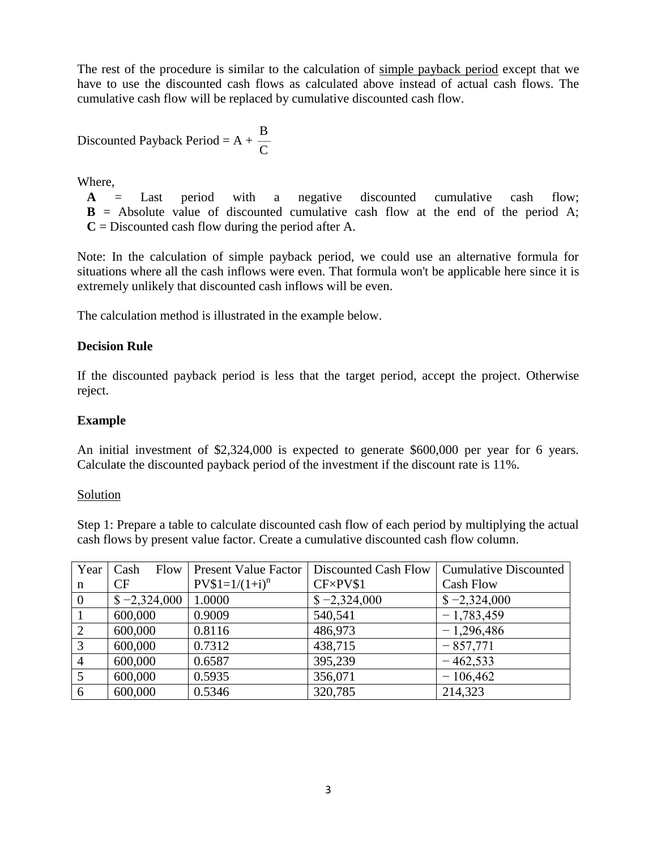The rest of the procedure is similar to the calculation of [simple payback period](http://accountingexplained.com/managerial/capital-budgeting/payback-period) except that we have to use the discounted cash flows as calculated above instead of actual cash flows. The cumulative cash flow will be replaced by cumulative discounted cash flow.

Discounted Payback Period  $= A +$ B  $\mathcal{C}_{0}^{(n)}$ 

Where,

 **A** = Last period with a negative discounted cumulative cash flow;  **= Absolute value of discounted cumulative cash flow at the end of the period A;**  $C = Discounted cash flow during the period after A.$ 

Note: In the calculation of simple payback period, we could use an alternative formula for situations where all the cash inflows were even. That formula won't be applicable here since it is extremely unlikely that discounted cash inflows will be even.

The calculation method is illustrated in the example below.

# **Decision Rule**

If the discounted payback period is less that the target period, accept the project. Otherwise reject.

# **Example**

An initial investment of \$2,324,000 is expected to generate \$600,000 per year for 6 years. Calculate the discounted payback period of the investment if the discount rate is 11%.

# **Solution**

Step 1: Prepare a table to calculate discounted cash flow of each period by multiplying the actual cash flows by present value factor. Create a cumulative discounted cash flow column.

| Year           | Cash<br>Flow           | <b>Present Value Factor</b> | Discounted Cash Flow | <b>Cumulative Discounted</b> |
|----------------|------------------------|-----------------------------|----------------------|------------------------------|
| n              | $\overline{\text{CF}}$ | $PV$1=1/(1+i)n$             | CF×PV\$1             | <b>Cash Flow</b>             |
| $\overline{0}$ | $$ -2,324,000$         | 1.0000                      | $$ -2,324,000$       | $$ -2,324,000$               |
|                | 600,000                | 0.9009                      | 540,541              | $-1,783,459$                 |
| 2              | 600,000                | 0.8116                      | 486,973              | $-1,296,486$                 |
| $\overline{3}$ | 600,000                | 0.7312                      | 438,715              | $-857,771$                   |
| $\overline{4}$ | 600,000                | 0.6587                      | 395,239              | $-462,533$                   |
| 5              | 600,000                | 0.5935                      | 356,071              | $-106,462$                   |
| 6              | 600,000                | 0.5346                      | 320,785              | 214,323                      |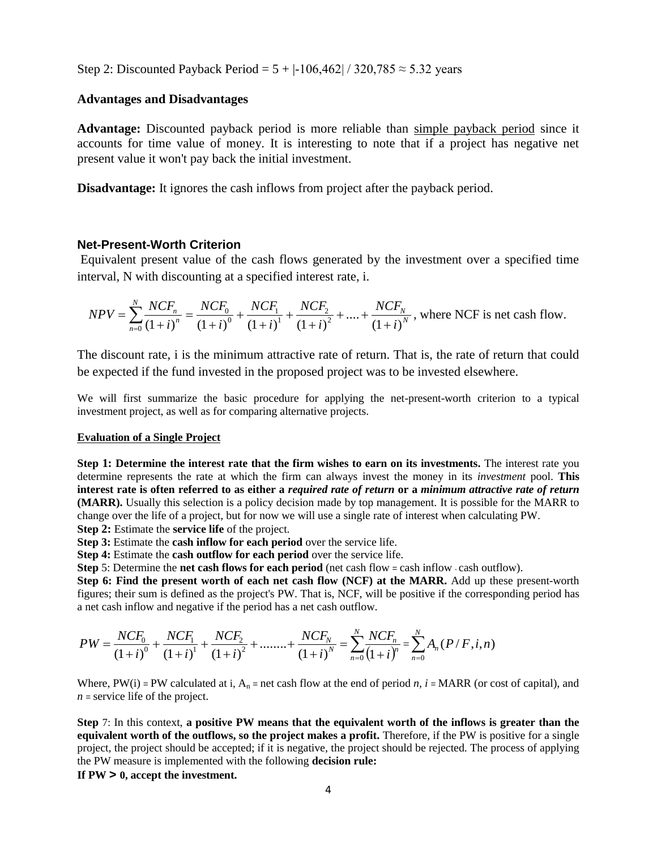Step 2: Discounted Payback Period =  $5 + |-106,462| / 320,785 \approx 5.32$  years

#### **Advantages and Disadvantages**

**Advantage:** Discounted payback period is more reliable than [simple payback period](http://accountingexplained.com/managerial/capital-budgeting/payback-period) since it accounts for time value of money. It is interesting to note that if a project has negative net present value it won't pay back the initial investment.

**Disadvantage:** It ignores the cash inflows from project after the payback period.

#### **Net-Present-Worth Criterion**

Equivalent present value of the cash flows generated by the investment over a specified time interval, N with discounting at a specified interest rate, i.

$$
NPV = \sum_{n=0}^{N} \frac{NCF_n}{(1+i)^n} = \frac{NCF_0}{(1+i)^0} + \frac{NCF_1}{(1+i)^1} + \frac{NCF_2}{(1+i)^2} + \dots + \frac{NCF_N}{(1+i)^N}
$$
, where NCF is net cash flow.

The discount rate, i is the minimum attractive rate of return. That is, the rate of return that could be expected if the fund invested in the proposed project was to be invested elsewhere.

We will first summarize the basic procedure for applying the net-present-worth criterion to a typical investment project, as well as for comparing alternative projects.

#### **Evaluation of a Single Project**

**Step 1: Determine the interest rate that the firm wishes to earn on its investments.** The interest rate you determine represents the rate at which the firm can always invest the money in its *investment* pool. **This interest rate is often referred to as either a** *required rate of return* **or a** *minimum attractive rate of return* **(MARR).** Usually this selection is a policy decision made by top management. It is possible for the MARR to change over the life of a project, but for now we will use a single rate of interest when calculating PW.

**Step 2:** Estimate the **service life** of the project.

**Step 3:** Estimate the **cash inflow for each period** over the service life.

**Step 4:** Estimate the **cash outflow for each period** over the service life.

**Step** 5: Determine the **net cash flows for each period** (net cash flow = cash inflow - cash outflow).

**Step 6: Find the present worth of each net cash flow (NCF) at the MARR.** Add up these present-worth figures; their sum is defined as the project's PW. That is, NCF, will be positive if the corresponding period has a net cash inflow and negative if the period has a net cash outflow.

$$
PW = \frac{NCF_0}{(1+i)^0} + \frac{NCF_1}{(1+i)^1} + \frac{NCF_2}{(1+i)^2} + \dots + \frac{NCF_N}{(1+i)^N} = \sum_{n=0}^N \frac{NCF_n}{(1+i)^n} = \sum_{n=0}^N A_n (P/F, i, n)
$$

Where, PW(i) = PW calculated at i,  $A_n$  = net cash flow at the end of period *n*,  $i = \text{MARR}$  (or cost of capital), and  $n =$  service life of the project.

**Step** 7: In this context, **a positive PW means that the equivalent worth of the inflows is greater than the equivalent worth of the outflows, so the project makes a profit.** Therefore, if the PW is positive for a single project, the project should be accepted; if it is negative, the project should be rejected. The process of applying the PW measure is implemented with the following **decision rule:**

**If PW > 0, accept the investment.**